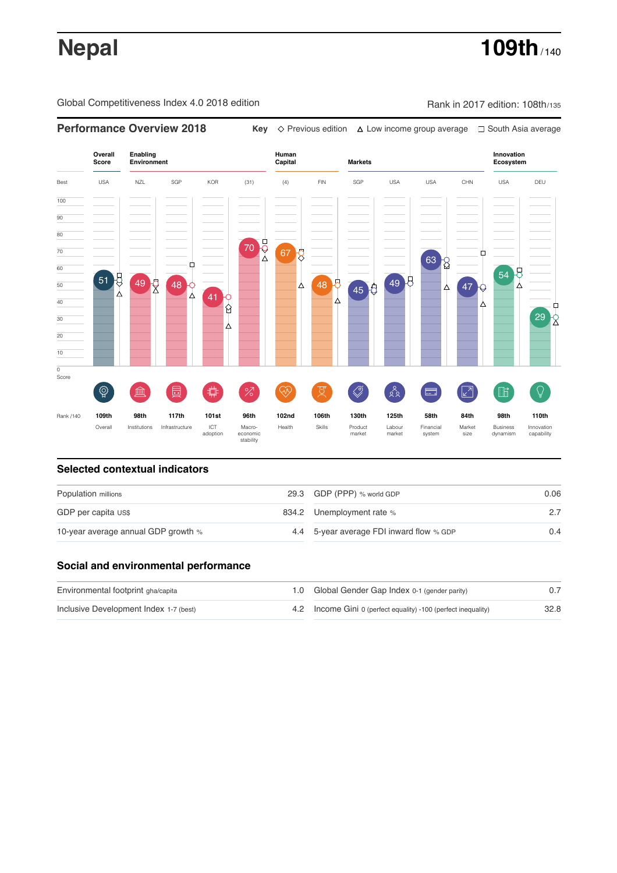# **Nepal 109th** / 140

Global Competitiveness Index 4.0 2018 edition Rank in 2017 edition: 108th/135

### **Overall Innovation Enabling Environment Human Capital Markets Score Ecosystem** Best USA NZL SGP KOR (31) (4) FIN SGP USA USA CHN USA DEU 100  $\overline{90}$ 80 70 70  $67\overline{8}$ Ė 63 8 60 54 B 51 49 2 48 49 8 48 8 50 47 Δ  $45<sup>6</sup>$ Δ .<br>41 Υ 40 ⋏ Ĥ 30  $29 \overline{\smash{\big)}\,}$ 20 10  $\overline{\text{o}}$ Score ♦ ៍{៌្ម}  $\bigotimes$  $88$ **ledge (** 茴  $\overline{O}$  $\circledcirc$  ( ਸ਼ੁ 击  $\sqrt{2}$ 酯 局 Rank /140 **109th 98th 117th 101st 96th 102nd 106th 130th 125th 58th 84th 98th 110th** Overall Institutions Infrastructure ICT<br>adoption adoption Macro- economic stability Health Skills Product market Labour<br>market Financial system Market size Business dynamism Innovation capability

**Performance Overview 2018** Key  $\Diamond$  Previous edition  $\Diamond$  Low income group average 
□ South Asia average

### **Selected contextual indicators**

| Population millions                 | 29.3 GDP (PPP) % world GDP               | 0.06 |  |
|-------------------------------------|------------------------------------------|------|--|
| GDP per capita US\$                 | 834.2 Unemployment rate %                |      |  |
| 10-year average annual GDP growth % | 4.4 5-year average FDI inward flow % GDP | 0.4  |  |

### **Social and environmental performance**

| Environmental footprint gha/capita     | 1.0 Global Gender Gap Index 0-1 (gender parity)                |      |
|----------------------------------------|----------------------------------------------------------------|------|
| Inclusive Development Index 1-7 (best) | 4.2 Income Gini 0 (perfect equality) -100 (perfect inequality) | 32.8 |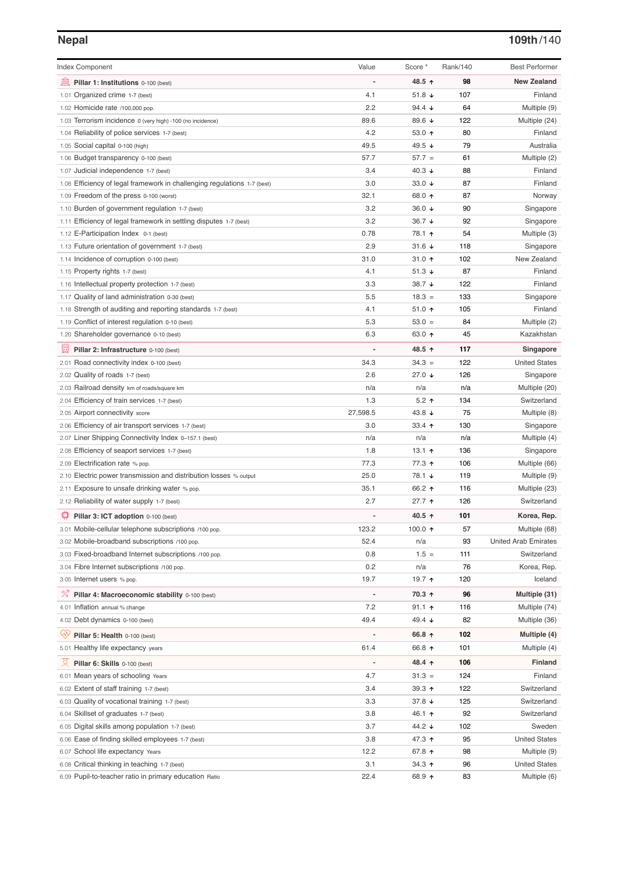## **Nepal 109th**/140

| <b>Index Component</b>                                                                       | Value                    | Score *                  | Rank/140 | <b>Best Performer</b>         |
|----------------------------------------------------------------------------------------------|--------------------------|--------------------------|----------|-------------------------------|
| 皿<br>Pillar 1: Institutions 0-100 (best)                                                     |                          | 48.5 ↑                   | 98       | <b>New Zealand</b>            |
| 1.01 Organized crime 1-7 (best)                                                              | 4.1                      | 51.8 $\sqrt{ }$          | 107      | Finland                       |
| 1.02 Homicide rate /100,000 pop.                                                             | 2.2                      | 94.4 $\sqrt{ }$          | 64       | Multiple (9)                  |
| 1.03 Terrorism incidence 0 (very high) -100 (no incidence)                                   | 89.6                     | 89.6 ↓                   | 122      | Multiple (24)                 |
| 1.04 Reliability of police services 1-7 (best)                                               | 4.2                      | 53.0 $\uparrow$          | 80       | Finland                       |
| 1.05 Social capital 0-100 (high)                                                             | 49.5                     | 49.5 $\sqrt{ }$          | 79       | Australia                     |
| 1.06 Budget transparency 0-100 (best)                                                        | 57.7                     | $57.7 =$                 | 61       | Multiple (2)                  |
| 1.07 Judicial independence 1-7 (best)                                                        | 3.4                      | 40.3 $\sqrt{ }$          | 88       | Finland                       |
| 1.08 Efficiency of legal framework in challenging regulations 1-7 (best)                     | 3.0                      | 33.0 $\sqrt{ }$          | 87       | Finland                       |
| 1.09 Freedom of the press 0-100 (worst)                                                      | 32.1                     | 68.0 ↑                   | 87       | Norway                        |
| 1.10 Burden of government regulation 1-7 (best)                                              | 3.2                      | 36.0 $\sqrt{ }$          | 90       | Singapore                     |
| 1.11 Efficiency of legal framework in settling disputes 1-7 (best)                           | 3.2                      | 36.7 $\downarrow$        | 92       | Singapore                     |
| 1.12 E-Participation Index 0-1 (best)                                                        | 0.78                     | 78.1 ተ                   | 54       | Multiple (3)                  |
| 1.13 Future orientation of government 1-7 (best)                                             | 2.9                      | 31.6 $\sqrt{ }$          | 118      | Singapore                     |
| 1.14 Incidence of corruption 0-100 (best)                                                    | 31.0                     | 31.0 $\uparrow$          | 102      | New Zealand                   |
| 1.15 Property rights 1-7 (best)                                                              | 4.1                      | 51.3 $\sqrt{ }$          | 87       | Finland                       |
| 1.16 Intellectual property protection 1-7 (best)                                             | 3.3                      | 38.7 $\downarrow$        | 122      | Finland                       |
| 1.17 Quality of land administration 0-30 (best)                                              | 5.5                      | $18.3 =$                 | 133      | Singapore                     |
| 1.18 Strength of auditing and reporting standards 1-7 (best)                                 | 4.1                      | 51.0 $\uparrow$          | 105      | Finland                       |
| 1.19 Conflict of interest regulation 0-10 (best)                                             | 5.3                      | $53.0 =$                 | 84       | Multiple (2)                  |
| 1.20 Shareholder governance 0-10 (best)                                                      | 6.3                      | 63.0 $\uparrow$          | 45       | Kazakhstan                    |
| 囩<br>Pillar 2: Infrastructure 0-100 (best)                                                   | $\overline{a}$           | 48.5 ↑                   | 117      | Singapore                     |
| 2.01 Road connectivity index 0-100 (best)                                                    | 34.3                     | $34.3 =$                 | 122      | <b>United States</b>          |
| 2.02 Quality of roads 1-7 (best)                                                             | 2.6                      | 27.0 $\sqrt{ }$          | 126      | Singapore                     |
| 2.03 Railroad density km of roads/square km                                                  | n/a                      | n/a                      | n/a      | Multiple (20)                 |
| 2.04 Efficiency of train services 1-7 (best)                                                 | 1.3                      | $5.2$ ↑                  | 134      | Switzerland                   |
| 2.05 Airport connectivity score                                                              | 27,598.5                 | 43.8 $\sqrt{ }$          | 75       | Multiple (8)                  |
| 2.06 Efficiency of air transport services 1-7 (best)                                         | 3.0                      | 33.4 $\uparrow$          | 130      | Singapore                     |
| 2.07 Liner Shipping Connectivity Index 0-157.1 (best)                                        | n/a                      | n/a                      | n/a      | Multiple (4)                  |
| 2.08 Efficiency of seaport services 1-7 (best)                                               | 1.8                      | 13.1 $\uparrow$          | 136      | Singapore                     |
| 2.09 Electrification rate % pop.                                                             | 77.3                     | 77.3 ↑                   | 106      | Multiple (66)                 |
|                                                                                              | 25.0                     | 78.1 ↓                   | 119      |                               |
| 2.10 Electric power transmission and distribution losses % output                            | 35.1                     | 66.2 ↑                   | 116      | Multiple (9)<br>Multiple (23) |
| 2.11 Exposure to unsafe drinking water % pop.<br>2.12 Reliability of water supply 1-7 (best) | 2.7                      | $27.7$ ↑                 | 126      | Switzerland                   |
|                                                                                              |                          |                          |          |                               |
| ₽<br>Pillar 3: ICT adoption 0-100 (best)                                                     |                          | 40.5 ↑                   | 101      | Korea, Rep.                   |
| 3.01 Mobile-cellular telephone subscriptions /100 pop.                                       | 123.2                    | 100.0 $\uparrow$         | 57       | Multiple (68)                 |
| 3.02 Mobile-broadband subscriptions /100 pop.                                                | 52.4                     | n/a                      | 93       | <b>United Arab Emirates</b>   |
| 3.03 Fixed-broadband Internet subscriptions /100 pop.                                        | 0.8                      | $1.5 =$                  | 111      | Switzerland                   |
| 3.04 Fibre Internet subscriptions /100 pop.                                                  | 0.2                      | n/a                      | 76       | Korea, Rep.                   |
| 3.05 Internet users % pop.                                                                   | 19.7                     | 19.7 ተ                   | 120      | Iceland                       |
| <sup>%</sup> Pillar 4: Macroeconomic stability 0-100 (best)                                  | $\overline{a}$           | 70.3 ↑                   | 96       | Multiple (31)                 |
| 4.01 Inflation annual % change                                                               | 7.2                      | $91.1 \text{ } \Upsilon$ | 116      | Multiple (74)                 |
| 4.02 Debt dynamics 0-100 (best)                                                              | 49.4                     | 49.4 $\sqrt{ }$          | 82       | Multiple (36)                 |
| Qiy<br>Pillar 5: Health 0-100 (best)                                                         | $\overline{\phantom{0}}$ | 66.8 ↑                   | 102      | Multiple (4)                  |
| 5.01 Healthy life expectancy years                                                           | 61.4                     | 66.8 ↑                   | 101      | Multiple (4)                  |
| 섯<br>Pillar 6: Skills 0-100 (best)                                                           | -                        | 48.4 个                   | 106      | <b>Finland</b>                |
| 6.01 Mean years of schooling Years                                                           | 4.7                      | $31.3 =$                 | 124      | Finland                       |
| 6.02 Extent of staff training 1-7 (best)                                                     | 3.4                      | 39.3 $\uparrow$          | 122      | Switzerland                   |
| 6.03 Quality of vocational training 1-7 (best)                                               | 3.3                      | 37.8 $\downarrow$        | 125      | Switzerland                   |
| 6.04 Skillset of graduates 1-7 (best)                                                        | 3.8                      | 46.1 ↑                   | 92       | Switzerland                   |
| 6.05 Digital skills among population 1-7 (best)                                              | 3.7                      | 44.2 ↓                   | 102      | Sweden                        |
| 6.06 Ease of finding skilled employees 1-7 (best)                                            | 3.8                      | 47.3 ↑                   | 95       | <b>United States</b>          |
| 6.07 School life expectancy Years                                                            | 12.2                     | 67.8 ↑                   | 98       | Multiple (9)                  |
| 6.08 Critical thinking in teaching 1-7 (best)                                                | 3.1                      | 34.3 $\uparrow$          | 96       | <b>United States</b>          |
| 6.09 Pupil-to-teacher ratio in primary education Ratio                                       | 22.4                     | 68.9 ↑                   | 83       | Multiple (6)                  |
|                                                                                              |                          |                          |          |                               |